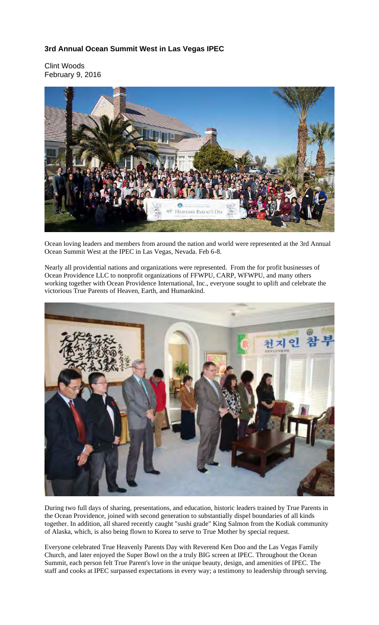## **3rd Annual Ocean Summit West in Las Vegas IPEC**

Clint Woods February 9, 2016



Ocean loving leaders and members from around the nation and world were represented at the 3rd Annual Ocean Summit West at the IPEC in Las Vegas, Nevada. Feb 6-8.

Nearly all providential nations and organizations were represented. From the for profit businesses of Ocean Providence LLC to nonprofit organizations of FFWPU, CARP, WFWPU, and many others working together with Ocean Providence International, Inc., everyone sought to uplift and celebrate the victorious True Parents of Heaven, Earth, and Humankind.



During two full days of sharing, presentations, and education, historic leaders trained by True Parents in the Ocean Providence, joined with second generation to substantially dispel boundaries of all kinds together. In addition, all shared recently caught "sushi grade" King Salmon from the Kodiak community of Alaska, which, is also being flown to Korea to serve to True Mother by special request.

Everyone celebrated True Heavenly Parents Day with Reverend Ken Doo and the Las Vegas Family Church, and later enjoyed the Super Bowl on the a truly BIG screen at IPEC. Throughout the Ocean Summit, each person felt True Parent's love in the unique beauty, design, and amenities of IPEC. The staff and cooks at IPEC surpassed expectations in every way; a testimony to leadership through serving.